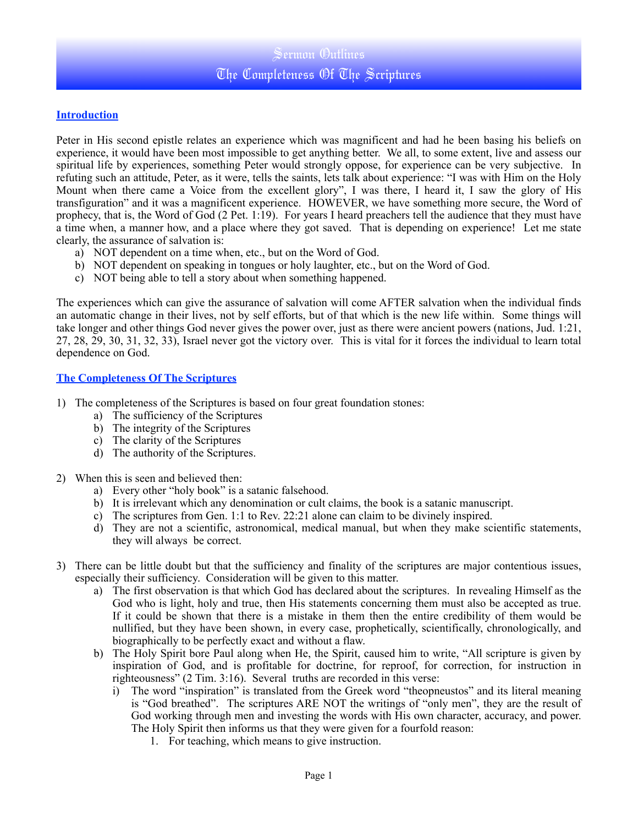## Sermon Outlines The Completeness Of The Scriptures

## **Introduction**

Peter in His second epistle relates an experience which was magnificent and had he been basing his beliefs on experience, it would have been most impossible to get anything better. We all, to some extent, live and assess our spiritual life by experiences, something Peter would strongly oppose, for experience can be very subjective. In refuting such an attitude, Peter, as it were, tells the saints, lets talk about experience: "I was with Him on the Holy Mount when there came a Voice from the excellent glory", I was there, I heard it, I saw the glory of His transfiguration" and it was a magnificent experience. HOWEVER, we have something more secure, the Word of prophecy, that is, the Word of God (2 Pet. 1:19). For years I heard preachers tell the audience that they must have a time when, a manner how, and a place where they got saved. That is depending on experience! Let me state clearly, the assurance of salvation is:

- a) NOT dependent on a time when, etc., but on the Word of God.
- b) NOT dependent on speaking in tongues or holy laughter, etc., but on the Word of God.
- c) NOT being able to tell a story about when something happened.

The experiences which can give the assurance of salvation will come AFTER salvation when the individual finds an automatic change in their lives, not by self efforts, but of that which is the new life within. Some things will take longer and other things God never gives the power over, just as there were ancient powers (nations, Jud. 1:21, 27, 28, 29, 30, 31, 32, 33), Israel never got the victory over. This is vital for it forces the individual to learn total dependence on God.

## **The Completeness Of The Scriptures**

- 1) The completeness of the Scriptures is based on four great foundation stones:
	- a) The sufficiency of the Scriptures
	- b) The integrity of the Scriptures
	- c) The clarity of the Scriptures
	- d) The authority of the Scriptures.
- 2) When this is seen and believed then:
	- a) Every other "holy book" is a satanic falsehood.
	- b) It is irrelevant which any denomination or cult claims, the book is a satanic manuscript.
	- c) The scriptures from Gen. 1:1 to Rev. 22:21 alone can claim to be divinely inspired.
	- d) They are not a scientific, astronomical, medical manual, but when they make scientific statements, they will always be correct.
- 3) There can be little doubt but that the sufficiency and finality of the scriptures are major contentious issues, especially their sufficiency. Consideration will be given to this matter.
	- a) The first observation is that which God has declared about the scriptures. In revealing Himself as the God who is light, holy and true, then His statements concerning them must also be accepted as true. If it could be shown that there is a mistake in them then the entire credibility of them would be nullified, but they have been shown, in every case, prophetically, scientifically, chronologically, and biographically to be perfectly exact and without a flaw.
	- b) The Holy Spirit bore Paul along when He, the Spirit, caused him to write, "All scripture is given by inspiration of God, and is profitable for doctrine, for reproof, for correction, for instruction in righteousness" (2 Tim. 3:16). Several truths are recorded in this verse:
		- i) The word "inspiration" is translated from the Greek word "theopneustos" and its literal meaning is "God breathed". The scriptures ARE NOT the writings of "only men", they are the result of God working through men and investing the words with His own character, accuracy, and power. The Holy Spirit then informs us that they were given for a fourfold reason:
			- 1. For teaching, which means to give instruction.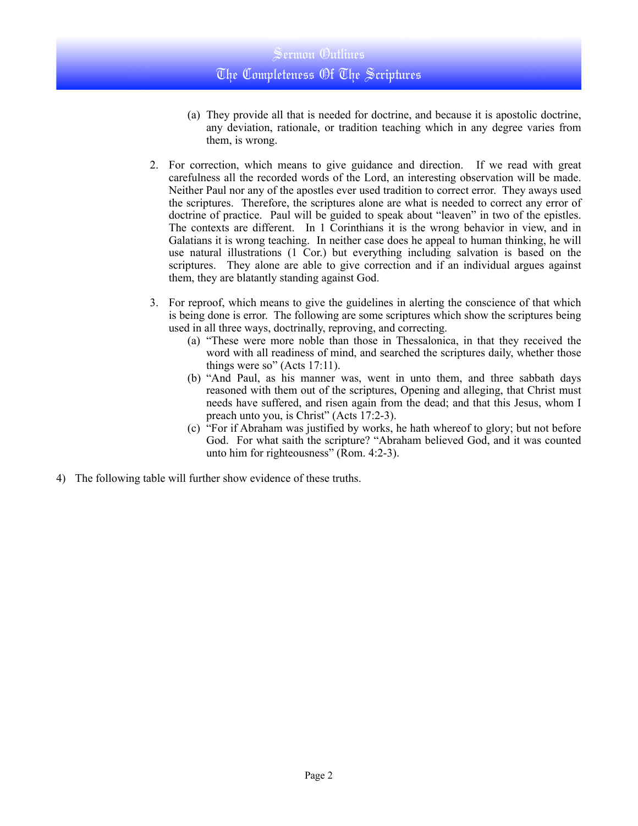- (a) They provide all that is needed for doctrine, and because it is apostolic doctrine, any deviation, rationale, or tradition teaching which in any degree varies from them, is wrong.
- 2. For correction, which means to give guidance and direction. If we read with great carefulness all the recorded words of the Lord, an interesting observation will be made. Neither Paul nor any of the apostles ever used tradition to correct error. They aways used the scriptures. Therefore, the scriptures alone are what is needed to correct any error of doctrine of practice. Paul will be guided to speak about "leaven" in two of the epistles. The contexts are different. In 1 Corinthians it is the wrong behavior in view, and in Galatians it is wrong teaching. In neither case does he appeal to human thinking, he will use natural illustrations (1 Cor.) but everything including salvation is based on the scriptures. They alone are able to give correction and if an individual argues against them, they are blatantly standing against God.
- 3. For reproof, which means to give the guidelines in alerting the conscience of that which is being done is error. The following are some scriptures which show the scriptures being used in all three ways, doctrinally, reproving, and correcting.
	- (a) "These were more noble than those in Thessalonica, in that they received the word with all readiness of mind, and searched the scriptures daily, whether those things were so" (Acts 17:11).
	- (b) "And Paul, as his manner was, went in unto them, and three sabbath days reasoned with them out of the scriptures, Opening and alleging, that Christ must needs have suffered, and risen again from the dead; and that this Jesus, whom I preach unto you, is Christ" (Acts 17:2-3).
	- (c) "For if Abraham was justified by works, he hath whereof to glory; but not before God. For what saith the scripture? "Abraham believed God, and it was counted unto him for righteousness" (Rom. 4:2-3).
- 4) The following table will further show evidence of these truths.